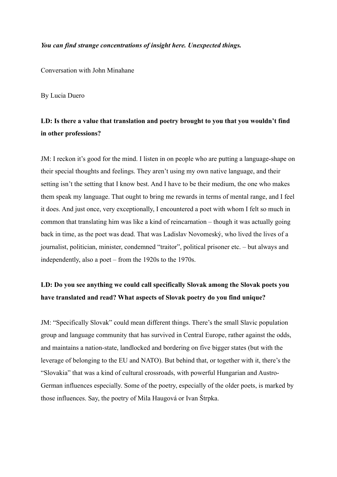#### *You can find strange concentrations of insight here. Unexpected things.*

Conversation with John Minahane

By Lucia Duero

## **LD: Is there a value that translation and poetry brought to you that you wouldn't find in other professions?**

JM: I reckon it's good for the mind. I listen in on people who are putting a language-shape on their special thoughts and feelings. They aren't using my own native language, and their setting isn't the setting that I know best. And I have to be their medium, the one who makes them speak my language. That ought to bring me rewards in terms of mental range, and I feel it does. And just once, very exceptionally, I encountered a poet with whom I felt so much in common that translating him was like a kind of reincarnation – though it was actually going back in time, as the poet was dead. That was Ladislav Novomeský, who lived the lives of a journalist, politician, minister, condemned "traitor", political prisoner etc. – but always and independently, also a poet – from the 1920s to the 1970s.

### **LD: Do you see anything we could call specifically Slovak among the Slovak poets you have translated and read? What aspects of Slovak poetry do you find unique?**

JM: "Specifically Slovak" could mean different things. There's the small Slavic population group and language community that has survived in Central Europe, rather against the odds, and maintains a nation-state, landlocked and bordering on five bigger states (but with the leverage of belonging to the EU and NATO). But behind that, or together with it, there's the "Slovakia" that was a kind of cultural crossroads, with powerful Hungarian and Austro-German influences especially. Some of the poetry, especially of the older poets, is marked by those influences. Say, the poetry of Mila Haugová or Ivan Štrpka.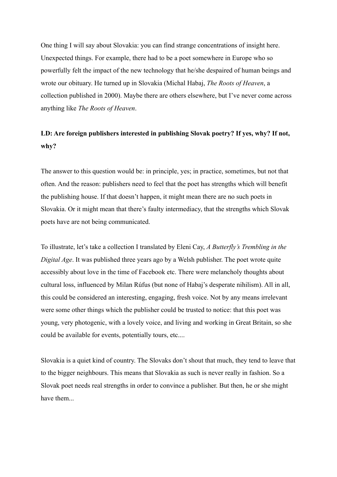One thing I will say about Slovakia: you can find strange concentrations of insight here. Unexpected things. For example, there had to be a poet somewhere in Europe who so powerfully felt the impact of the new technology that he/she despaired of human beings and wrote our obituary. He turned up in Slovakia (Michal Habaj, *The Roots of Heaven*, a collection published in 2000). Maybe there are others elsewhere, but I've never come across anything like *The Roots of Heaven*.

### **LD: Are foreign publishers interested in publishing Slovak poetry? If yes, why? If not, why?**

The answer to this question would be: in principle, yes; in practice, sometimes, but not that often. And the reason: publishers need to feel that the poet has strengths which will benefit the publishing house. If that doesn't happen, it might mean there are no such poets in Slovakia. Or it might mean that there's faulty intermediacy, that the strengths which Slovak poets have are not being communicated.

To illustrate, let's take a collection I translated by Eleni Cay, *A Butterfly's Trembling in the Digital Age*. It was published three years ago by a Welsh publisher. The poet wrote quite accessibly about love in the time of Facebook etc. There were melancholy thoughts about cultural loss, influenced by Milan Rúfus (but none of Habaj's desperate nihilism). All in all, this could be considered an interesting, engaging, fresh voice. Not by any means irrelevant were some other things which the publisher could be trusted to notice: that this poet was young, very photogenic, with a lovely voice, and living and working in Great Britain, so she could be available for events, potentially tours, etc....

Slovakia is a quiet kind of country. The Slovaks don't shout that much, they tend to leave that to the bigger neighbours. This means that Slovakia as such is never really in fashion. So a Slovak poet needs real strengths in order to convince a publisher. But then, he or she might have them...